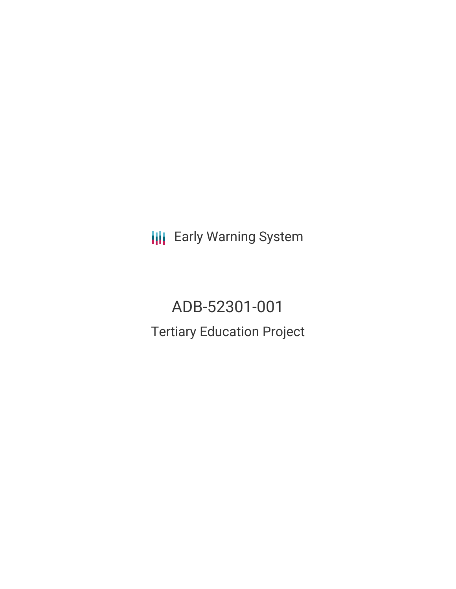**III** Early Warning System

ADB-52301-001 Tertiary Education Project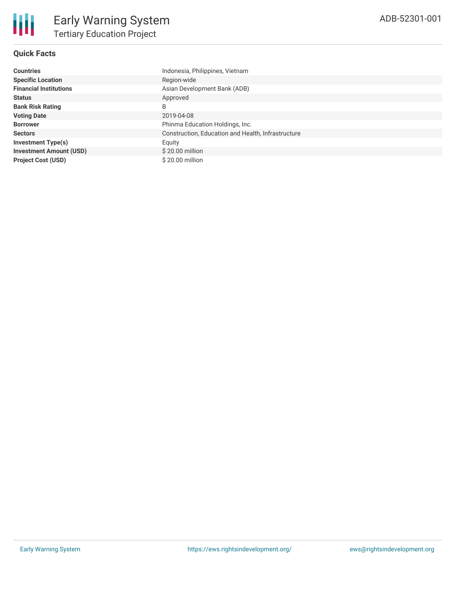

### **Quick Facts**

| <b>Countries</b>               | Indonesia, Philippines, Vietnam                    |
|--------------------------------|----------------------------------------------------|
| <b>Specific Location</b>       | Region-wide                                        |
| <b>Financial Institutions</b>  | Asian Development Bank (ADB)                       |
| <b>Status</b>                  | Approved                                           |
| <b>Bank Risk Rating</b>        | B                                                  |
| <b>Voting Date</b>             | 2019-04-08                                         |
| <b>Borrower</b>                | Phinma Education Holdings, Inc.                    |
| <b>Sectors</b>                 | Construction, Education and Health, Infrastructure |
| <b>Investment Type(s)</b>      | Equity                                             |
| <b>Investment Amount (USD)</b> | \$20.00 million                                    |
| <b>Project Cost (USD)</b>      | \$20.00 million                                    |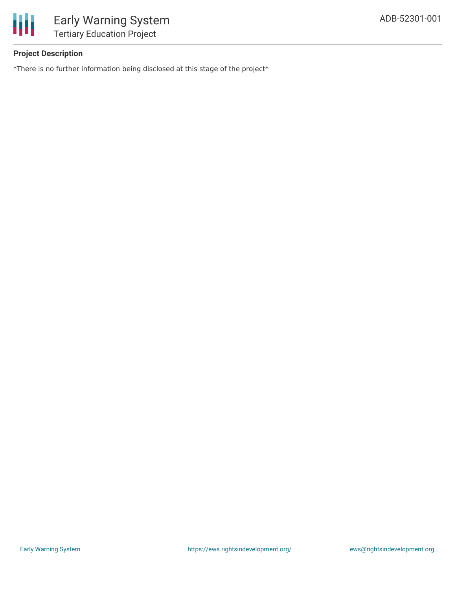

# **Project Description**

\*There is no further information being disclosed at this stage of the project\*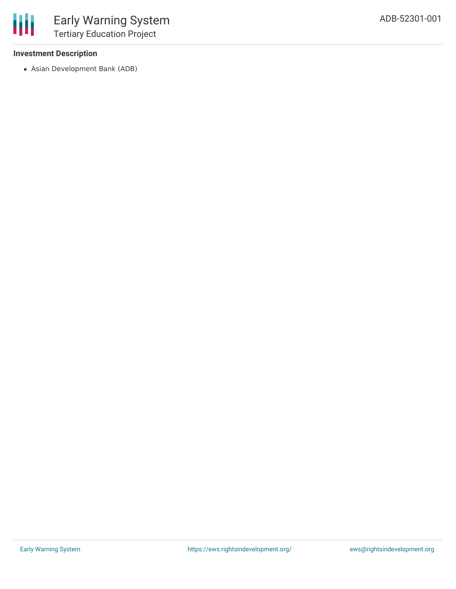## **Investment Description**

Asian Development Bank (ADB)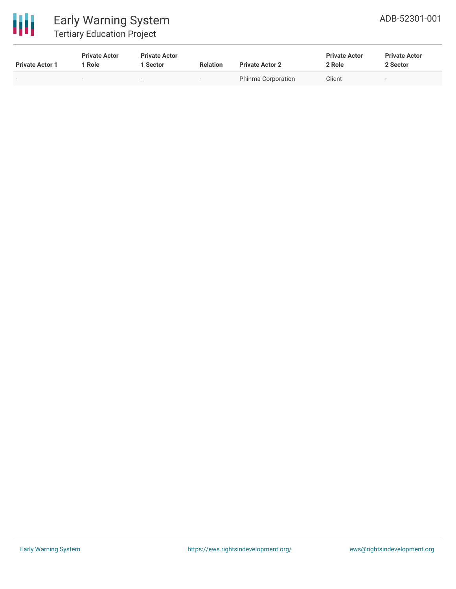

# Early Warning System Tertiary Education Project

| <b>Private Actor 1</b>   | <b>Private Actor</b><br>l Role. | <b>Private Actor</b><br><b>Sector</b> | <b>Relation</b>          | <b>Private Actor 2</b> | <b>Private Actor</b><br>2 Role | <b>Private Actor</b><br>2 Sector |
|--------------------------|---------------------------------|---------------------------------------|--------------------------|------------------------|--------------------------------|----------------------------------|
| $\overline{\phantom{0}}$ | -                               | $\overline{\phantom{0}}$              | $\overline{\phantom{a}}$ | Phinma Corporation     | Client                         | ۰                                |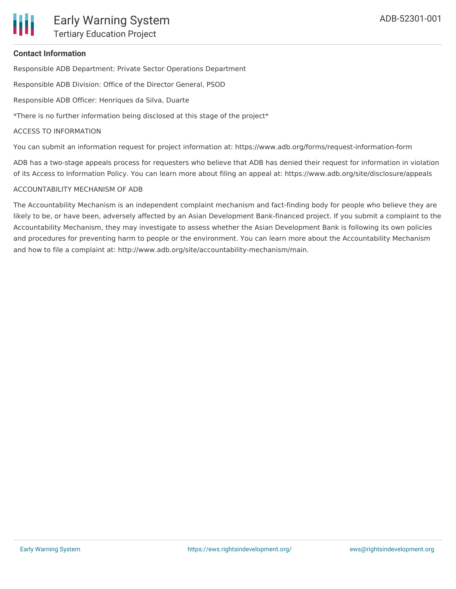

#### **Contact Information**

Responsible ADB Department: Private Sector Operations Department

Responsible ADB Division: Office of the Director General, PSOD

Responsible ADB Officer: Henriques da Silva, Duarte

\*There is no further information being disclosed at this stage of the project\*

#### ACCESS TO INFORMATION

You can submit an information request for project information at: https://www.adb.org/forms/request-information-form

ADB has a two-stage appeals process for requesters who believe that ADB has denied their request for information in violation of its Access to Information Policy. You can learn more about filing an appeal at: https://www.adb.org/site/disclosure/appeals

#### ACCOUNTABILITY MECHANISM OF ADB

The Accountability Mechanism is an independent complaint mechanism and fact-finding body for people who believe they are likely to be, or have been, adversely affected by an Asian Development Bank-financed project. If you submit a complaint to the Accountability Mechanism, they may investigate to assess whether the Asian Development Bank is following its own policies and procedures for preventing harm to people or the environment. You can learn more about the Accountability Mechanism and how to file a complaint at: http://www.adb.org/site/accountability-mechanism/main.